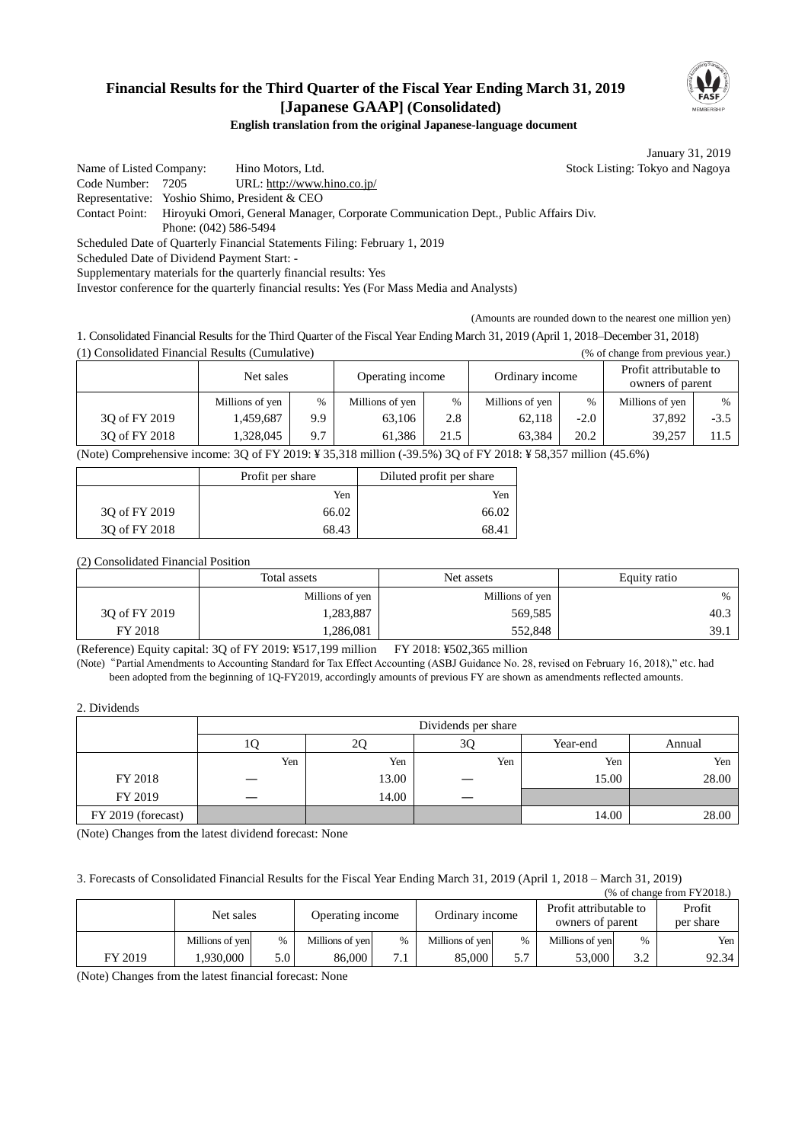# **Financial Results for the Third Quarter of the Fiscal Year Ending March 31, 2019 [Japanese GAAP] (Consolidated)**



**English translation from the original Japanese-language document**

January 31, 2019

Name of Listed Company: Hino Motors, Ltd. Stock Listing: Tokyo and Nagoya Code Number: 7205 URL: http://www.hino.co.jp/ Representative: Yoshio Shimo, President & CEO Contact Point: Hiroyuki Omori, General Manager, Corporate Communication Dept., Public Affairs Div. Phone: (042) 586-5494 Scheduled Date of Quarterly Financial Statements Filing: February 1, 2019 Scheduled Date of Dividend Payment Start: - Supplementary materials for the quarterly financial results: Yes

Investor conference for the quarterly financial results: Yes (For Mass Media and Analysts)

(Amounts are rounded down to the nearest one million yen)

1. Consolidated Financial Results for the Third Quarter of the Fiscal Year Ending March 31, 2019 (April 1, 2018–December 31, 2018) (1) Consolidated Financial Results (Cumulative) (% of change from previous year.)

|               | Net sales       |      | Operating income |               | Ordinary income |        | Profit attributable to<br>owners of parent |        |  |
|---------------|-----------------|------|------------------|---------------|-----------------|--------|--------------------------------------------|--------|--|
|               | Millions of yen | $\%$ | Millions of yen  | $\frac{0}{6}$ | Millions of yen | $\%$   | Millions of yen                            | $\%$   |  |
| 30 of FY 2019 | 1,459,687       | 9.9  | 63,106           | 2.8           | 62.118          | $-2.0$ | 37,892                                     | $-3.5$ |  |
| 30 of FY 2018 | 1.328.045       | 9.7  | 61.386           | 21.5          | 63.384          | 20.2   | 39.257                                     | 11.5   |  |

(Note) Comprehensive income: 3Q of FY 2019: ¥ 35,318 million (-39.5%) 3Q of FY 2018: ¥ 58,357 million (45.6%)

|               | Profit per share | Diluted profit per share |
|---------------|------------------|--------------------------|
|               | Yen              | Yen                      |
| 30 of FY 2019 | 66.02            | 66.02                    |
| 30 of FY 2018 | 68.43            | 68.41                    |

(2) Consolidated Financial Position

|               | Total assets    | Net assets      | Equity ratio |
|---------------|-----------------|-----------------|--------------|
|               | Millions of yen | Millions of yen | $\%$         |
| 30 of FY 2019 | .283,887        | 569,585         | 40.3         |
| FY 2018       | .286,081        | 552,848         | 39.1         |

(Reference) Equity capital: 3Q of FY 2019: ¥517,199 million FY 2018: ¥502,365 million

(Note)"Partial Amendments to Accounting Standard for Tax Effect Accounting (ASBJ Guidance No. 28, revised on February 16, 2018)," etc. had been adopted from the beginning of 1Q-FY2019, accordingly amounts of previous FY are shown as amendments reflected amounts.

2. Dividends

|                    | Dividends per share |       |     |          |        |  |
|--------------------|---------------------|-------|-----|----------|--------|--|
|                    | ΙU                  | 2Q    | 3Q  | Year-end | Annual |  |
|                    | Yen                 | Yen   | Yen | Yen      | Yen    |  |
| FY 2018            |                     | 13.00 |     | 15.00    | 28.00  |  |
| FY 2019            |                     | 14.00 |     |          |        |  |
| FY 2019 (forecast) |                     |       |     | 14.00    | 28.00  |  |

(Note) Changes from the latest dividend forecast: None

3. Forecasts of Consolidated Financial Results for the Fiscal Year Ending March 31, 2019 (April 1, 2018 – March 31, 2019)

|         |                 |                               |                 |                   |                 |                                            |                 |                     | $%$ of change from FY2018.) |
|---------|-----------------|-------------------------------|-----------------|-------------------|-----------------|--------------------------------------------|-----------------|---------------------|-----------------------------|
|         |                 | Net sales<br>Operating income |                 | Ordinary income   |                 | Profit attributable to<br>owners of parent |                 | Profit<br>per share |                             |
|         | Millions of yen | $\%$                          | Millions of yen | $\frac{0}{0}$     | Millions of yen | $\frac{0}{0}$                              | Millions of yen | $\%$                | Yen                         |
| FY 2019 | .930.000        | 5.0 <sup>1</sup>              | 86,000          | $\mathbf{\tau}$ . | 85,000          | 5.7                                        | 53,000          | 3.2                 | 92.34                       |

(Note) Changes from the latest financial forecast: None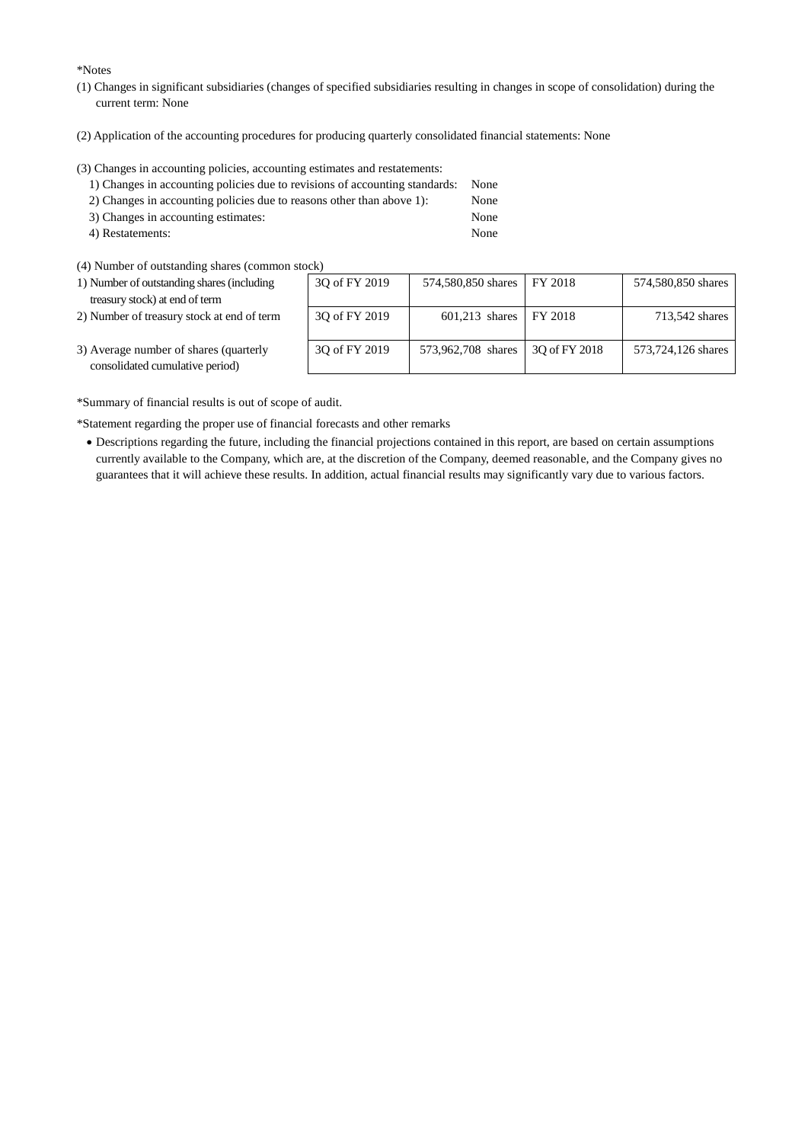\*Notes

- (1) Changes in significant subsidiaries (changes of specified subsidiaries resulting in changes in scope of consolidation) during the current term: None
- (2) Application of the accounting procedures for producing quarterly consolidated financial statements: None

(3) Changes in accounting policies, accounting estimates and restatements:

| 1) Changes in accounting policies due to revisions of accounting standards: None |      |
|----------------------------------------------------------------------------------|------|
| 2) Changes in accounting policies due to reasons other than above 1:             | None |
| 3) Changes in accounting estimates:                                              | None |

- 4) Restatements: None
- (4) Number of outstanding shares (common stock)
- 1) Number of outstanding shares (including treasury stock) at end of term
- 2) Number of treasury stock at end of term

| OCK)          |                    |               |                    |
|---------------|--------------------|---------------|--------------------|
| 3Q of FY 2019 | 574,580,850 shares | FY 2018       | 574,580,850 shares |
| 3Q of FY 2019 | $601,213$ shares   | FY 2018       | 713,542 shares     |
| 3Q of FY 2019 | 573,962,708 shares | 30 of FY 2018 | 573,724,126 shares |

3) Average number of shares (quarterly consolidated cumulative period)

\*Summary of financial results is out of scope of audit.

\*Statement regarding the proper use of financial forecasts and other remarks

 Descriptions regarding the future, including the financial projections contained in this report, are based on certain assumptions currently available to the Company, which are, at the discretion of the Company, deemed reasonable, and the Company gives no guarantees that it will achieve these results. In addition, actual financial results may significantly vary due to various factors.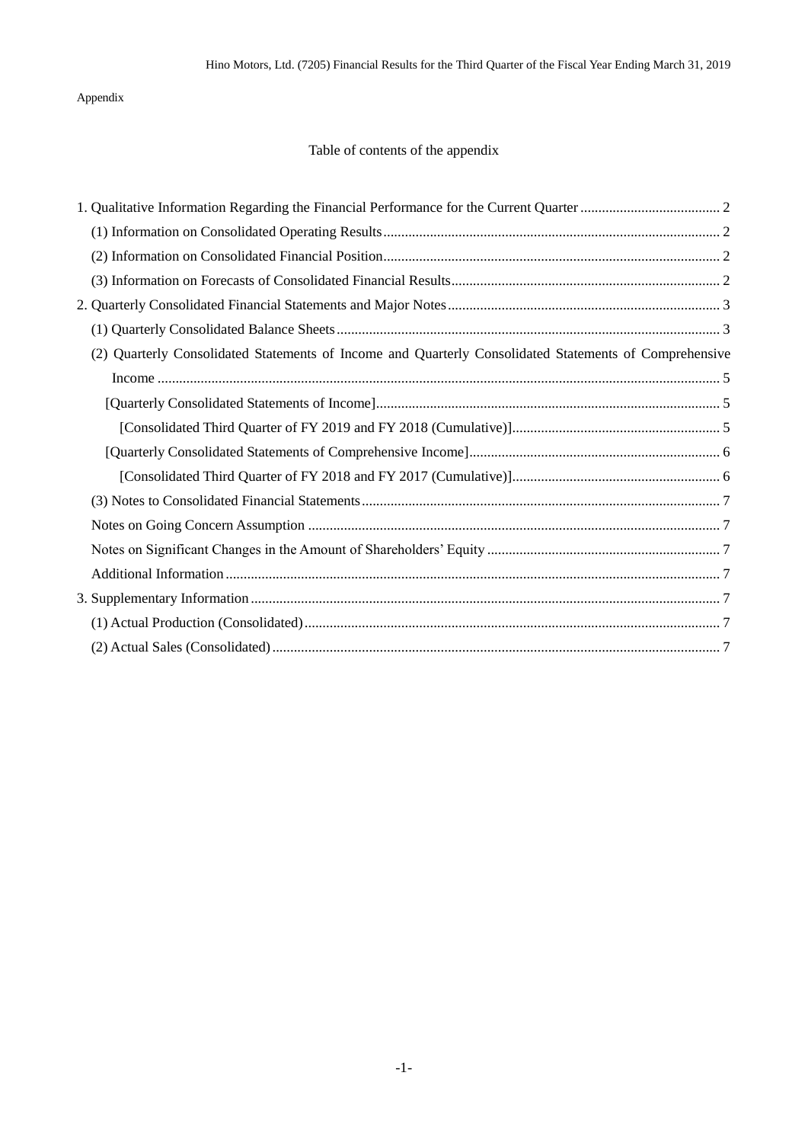## Appendix

# Table of contents of the appendix

| (2) Quarterly Consolidated Statements of Income and Quarterly Consolidated Statements of Comprehensive |
|--------------------------------------------------------------------------------------------------------|
|                                                                                                        |
|                                                                                                        |
|                                                                                                        |
|                                                                                                        |
|                                                                                                        |
|                                                                                                        |
|                                                                                                        |
|                                                                                                        |
|                                                                                                        |
|                                                                                                        |
|                                                                                                        |
|                                                                                                        |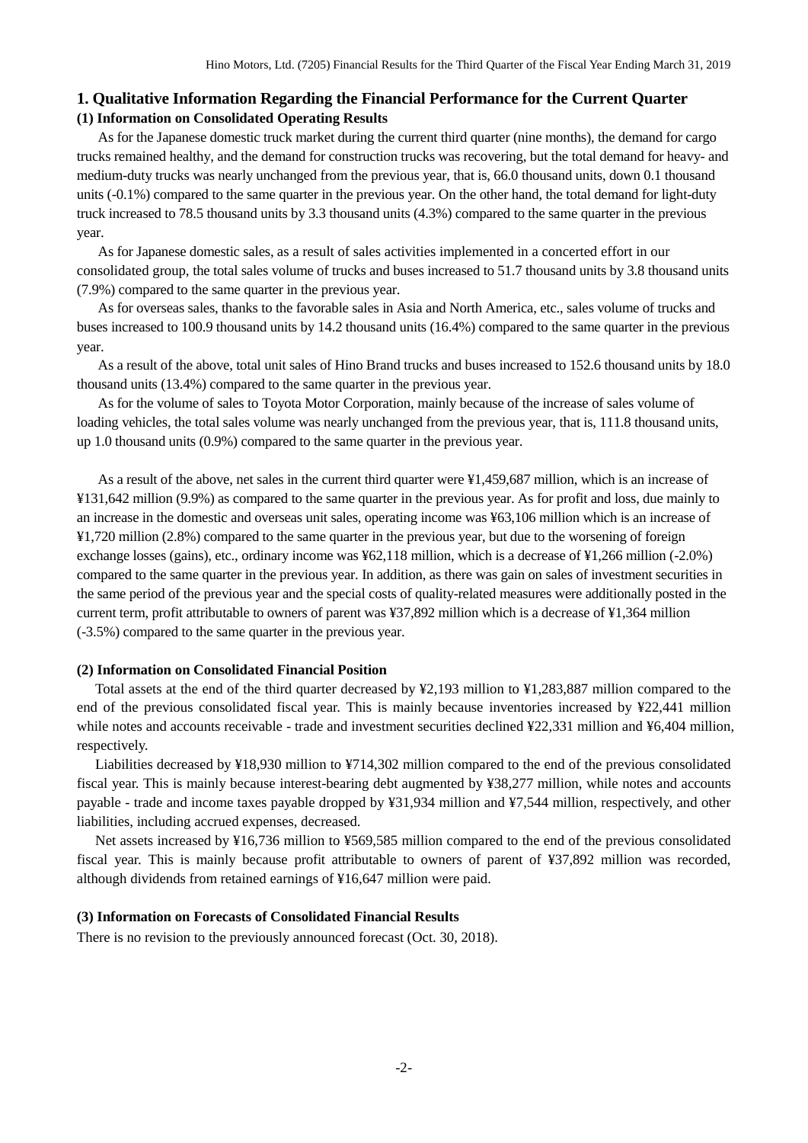## <span id="page-3-1"></span><span id="page-3-0"></span>**1. Qualitative Information Regarding the Financial Performance for the Current Quarter (1) Information on Consolidated Operating Results**

As for the Japanese domestic truck market during the current third quarter (nine months), the demand for cargo trucks remained healthy, and the demand for construction trucks was recovering, but the total demand for heavy- and medium-duty trucks was nearly unchanged from the previous year, that is, 66.0 thousand units, down 0.1 thousand units (-0.1%) compared to the same quarter in the previous year. On the other hand, the total demand for light-duty truck increased to 78.5 thousand units by 3.3 thousand units (4.3%) compared to the same quarter in the previous year.

As for Japanese domestic sales, as a result of sales activities implemented in a concerted effort in our consolidated group, the total sales volume of trucks and buses increased to 51.7 thousand units by 3.8 thousand units (7.9%) compared to the same quarter in the previous year.

As for overseas sales, thanks to the favorable sales in Asia and North America, etc., sales volume of trucks and buses increased to 100.9 thousand units by 14.2 thousand units (16.4%) compared to the same quarter in the previous year.

As a result of the above, total unit sales of Hino Brand trucks and buses increased to 152.6 thousand units by 18.0 thousand units (13.4%) compared to the same quarter in the previous year.

As for the volume of sales to Toyota Motor Corporation, mainly because of the increase of sales volume of loading vehicles, the total sales volume was nearly unchanged from the previous year, that is, 111.8 thousand units, up 1.0 thousand units (0.9%) compared to the same quarter in the previous year.

As a result of the above, net sales in the current third quarter were ¥1,459,687 million, which is an increase of ¥131,642 million (9.9%) as compared to the same quarter in the previous year. As for profit and loss, due mainly to an increase in the domestic and overseas unit sales, operating income was ¥63,106 million which is an increase of ¥1,720 million (2.8%) compared to the same quarter in the previous year, but due to the worsening of foreign exchange losses (gains), etc., ordinary income was ¥62,118 million, which is a decrease of ¥1,266 million (-2.0%) compared to the same quarter in the previous year. In addition, as there was gain on sales of investment securities in the same period of the previous year and the special costs of quality-related measures were additionally posted in the current term, profit attributable to owners of parent was ¥37,892 million which is a decrease of ¥1,364 million (-3.5%) compared to the same quarter in the previous year.

#### <span id="page-3-2"></span>**(2) Information on Consolidated Financial Position**

Total assets at the end of the third quarter decreased by ¥2,193 million to ¥1,283,887 million compared to the end of the previous consolidated fiscal year. This is mainly because inventories increased by ¥22,441 million while notes and accounts receivable - trade and investment securities declined ¥22,331 million and ¥6,404 million, respectively.

Liabilities decreased by ¥18,930 million to ¥714,302 million compared to the end of the previous consolidated fiscal year. This is mainly because interest-bearing debt augmented by ¥38,277 million, while notes and accounts payable - trade and income taxes payable dropped by ¥31,934 million and ¥7,544 million, respectively, and other liabilities, including accrued expenses, decreased.

Net assets increased by ¥16,736 million to ¥569,585 million compared to the end of the previous consolidated fiscal year. This is mainly because profit attributable to owners of parent of ¥37,892 million was recorded, although dividends from retained earnings of ¥16,647 million were paid.

### <span id="page-3-3"></span>**(3) Information on Forecasts of Consolidated Financial Results**

There is no revision to the previously announced forecast (Oct. 30, 2018).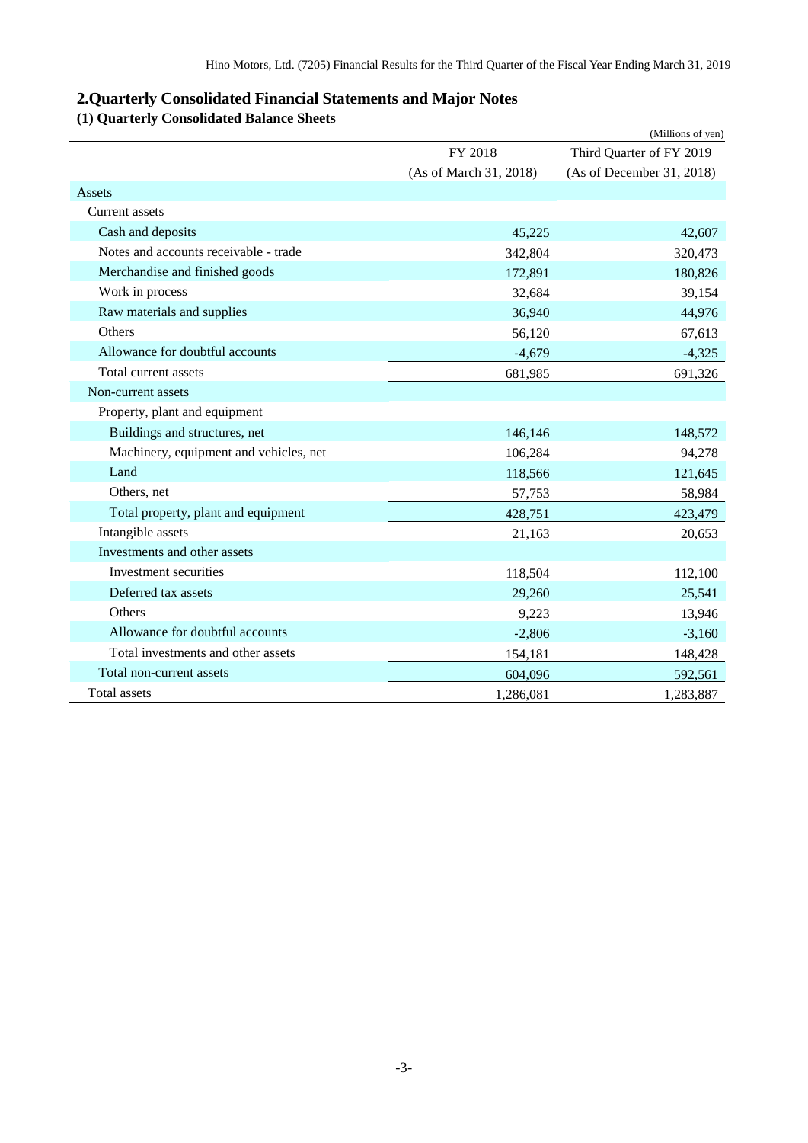# <span id="page-4-0"></span>**2.Quarterly Consolidated Financial Statements and Major Notes**

# <span id="page-4-1"></span>**(1) Quarterly Consolidated Balance Sheets**

|                                        |                        | (Millions of yen)         |
|----------------------------------------|------------------------|---------------------------|
|                                        | FY 2018                | Third Quarter of FY 2019  |
|                                        | (As of March 31, 2018) | (As of December 31, 2018) |
| Assets                                 |                        |                           |
| Current assets                         |                        |                           |
| Cash and deposits                      | 45,225                 | 42,607                    |
| Notes and accounts receivable - trade  | 342,804                | 320,473                   |
| Merchandise and finished goods         | 172,891                | 180,826                   |
| Work in process                        | 32,684                 | 39,154                    |
| Raw materials and supplies             | 36,940                 | 44,976                    |
| Others                                 | 56,120                 | 67,613                    |
| Allowance for doubtful accounts        | $-4,679$               | $-4,325$                  |
| Total current assets                   | 681,985                | 691,326                   |
| Non-current assets                     |                        |                           |
| Property, plant and equipment          |                        |                           |
| Buildings and structures, net          | 146,146                | 148,572                   |
| Machinery, equipment and vehicles, net | 106,284                | 94,278                    |
| Land                                   | 118,566                | 121,645                   |
| Others, net                            | 57,753                 | 58,984                    |
| Total property, plant and equipment    | 428,751                | 423,479                   |
| Intangible assets                      | 21,163                 | 20,653                    |
| Investments and other assets           |                        |                           |
| Investment securities                  | 118,504                | 112,100                   |
| Deferred tax assets                    | 29,260                 | 25,541                    |
| Others                                 | 9,223                  | 13,946                    |
| Allowance for doubtful accounts        | $-2,806$               | $-3,160$                  |
| Total investments and other assets     | 154,181                | 148,428                   |
| Total non-current assets               | 604,096                | 592,561                   |
| <b>Total assets</b>                    | 1,286,081              | 1,283,887                 |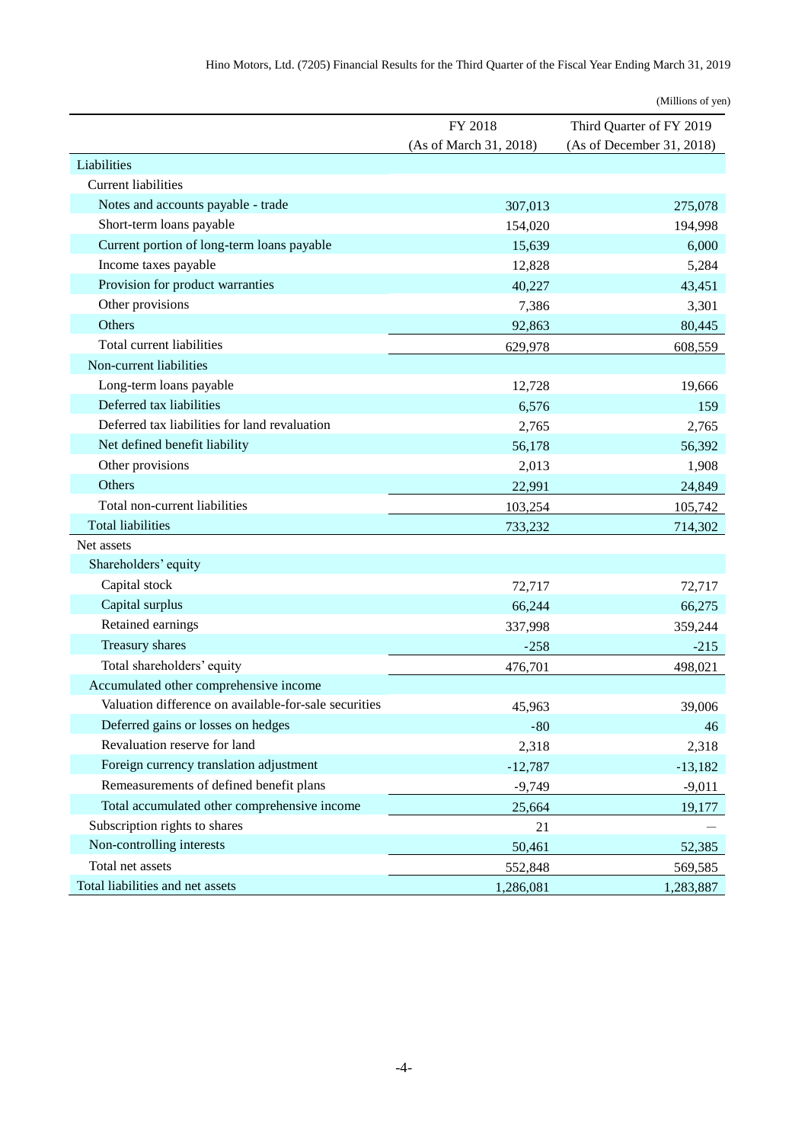|                                                       |                        | (Millions of yen)         |
|-------------------------------------------------------|------------------------|---------------------------|
|                                                       | FY 2018                | Third Quarter of FY 2019  |
|                                                       | (As of March 31, 2018) | (As of December 31, 2018) |
| Liabilities                                           |                        |                           |
| <b>Current liabilities</b>                            |                        |                           |
| Notes and accounts payable - trade                    | 307,013                | 275,078                   |
| Short-term loans payable                              | 154,020                | 194,998                   |
| Current portion of long-term loans payable            | 15,639                 | 6,000                     |
| Income taxes payable                                  | 12,828                 | 5,284                     |
| Provision for product warranties                      | 40,227                 | 43,451                    |
| Other provisions                                      | 7,386                  | 3,301                     |
| Others                                                | 92,863                 | 80,445                    |
| Total current liabilities                             | 629,978                | 608,559                   |
| Non-current liabilities                               |                        |                           |
| Long-term loans payable                               | 12,728                 | 19,666                    |
| Deferred tax liabilities                              | 6,576                  | 159                       |
| Deferred tax liabilities for land revaluation         | 2,765                  | 2,765                     |
| Net defined benefit liability                         | 56,178                 | 56,392                    |
| Other provisions                                      | 2,013                  | 1,908                     |
| Others                                                | 22,991                 | 24,849                    |
| Total non-current liabilities                         | 103,254                | 105,742                   |
| <b>Total liabilities</b>                              | 733,232                | 714,302                   |
| Net assets                                            |                        |                           |
| Shareholders' equity                                  |                        |                           |
| Capital stock                                         | 72,717                 | 72,717                    |
| Capital surplus                                       | 66,244                 | 66,275                    |
| Retained earnings                                     | 337,998                | 359,244                   |
| Treasury shares                                       | $-258$                 | $-215$                    |
| Total shareholders' equity                            | 476,701                | 498,021                   |
| Accumulated other comprehensive income                |                        |                           |
| Valuation difference on available-for-sale securities | 45,963                 | 39,006                    |
| Deferred gains or losses on hedges                    | $-80$                  | 46                        |
| Revaluation reserve for land                          | 2,318                  | 2,318                     |
| Foreign currency translation adjustment               | $-12,787$              | $-13,182$                 |
| Remeasurements of defined benefit plans               | $-9,749$               | $-9,011$                  |
| Total accumulated other comprehensive income          | 25,664                 | 19,177                    |
| Subscription rights to shares                         | 21                     |                           |
| Non-controlling interests                             | 50,461                 | 52,385                    |
| Total net assets                                      | 552,848                | 569,585                   |
| Total liabilities and net assets                      | 1,286,081              | 1,283,887                 |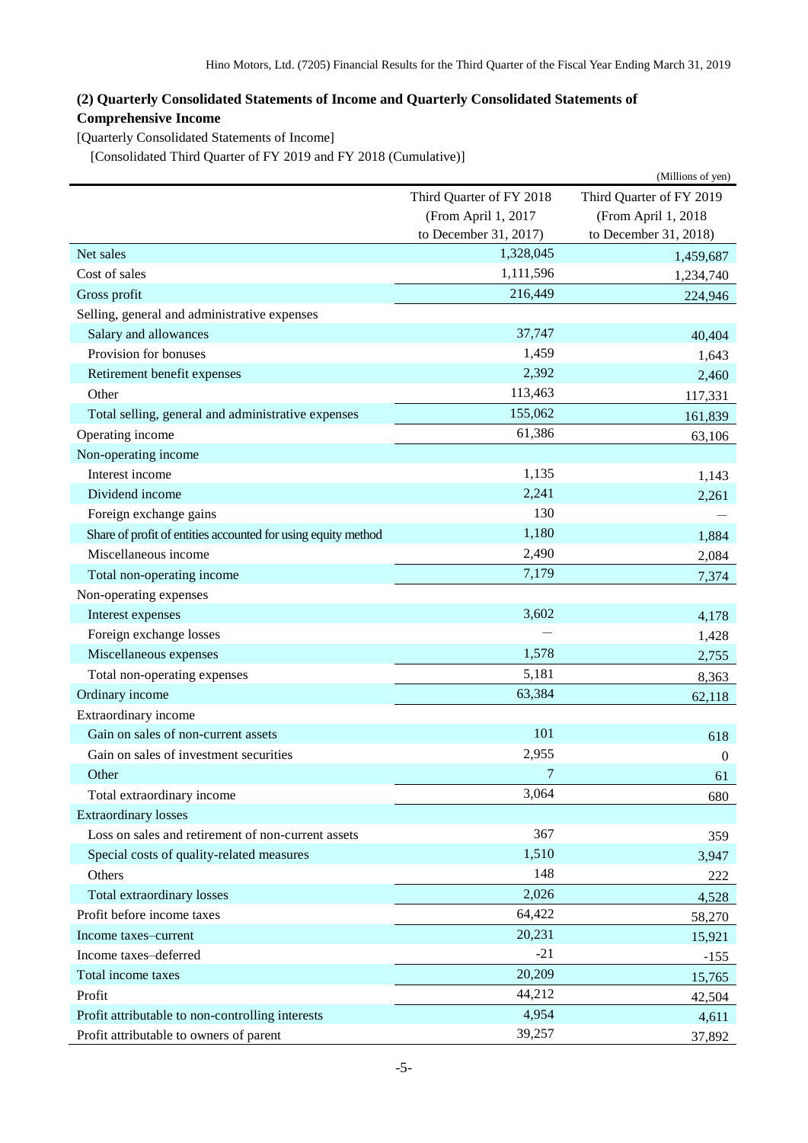# <span id="page-6-0"></span>**(2) Quarterly Consolidated Statements of Income and Quarterly Consolidated Statements of Comprehensive Income**

<span id="page-6-1"></span>[Quarterly Consolidated Statements of Income]

<span id="page-6-2"></span>[Consolidated Third Quarter of FY 2019 and FY 2018 (Cumulative)]

|                                                               |                          | (Millions of yen)        |
|---------------------------------------------------------------|--------------------------|--------------------------|
|                                                               | Third Quarter of FY 2018 | Third Quarter of FY 2019 |
|                                                               | (From April 1, 2017      | (From April 1, 2018      |
|                                                               | to December 31, 2017)    | to December 31, 2018)    |
| Net sales                                                     | 1,328,045                | 1,459,687                |
| Cost of sales                                                 | 1,111,596                | 1,234,740                |
| Gross profit                                                  | 216,449                  | 224,946                  |
| Selling, general and administrative expenses                  |                          |                          |
| Salary and allowances                                         | 37,747                   | 40,404                   |
| Provision for bonuses                                         | 1,459                    | 1,643                    |
| Retirement benefit expenses                                   | 2,392                    | 2,460                    |
| Other                                                         | 113,463                  | 117,331                  |
| Total selling, general and administrative expenses            | 155,062                  | 161,839                  |
| Operating income                                              | 61,386                   | 63,106                   |
| Non-operating income                                          |                          |                          |
| Interest income                                               | 1,135                    | 1,143                    |
| Dividend income                                               | 2,241                    | 2,261                    |
| Foreign exchange gains                                        | 130                      |                          |
| Share of profit of entities accounted for using equity method | 1,180                    | 1,884                    |
| Miscellaneous income                                          | 2,490                    | 2,084                    |
| Total non-operating income                                    | 7,179                    | 7,374                    |
| Non-operating expenses                                        |                          |                          |
| Interest expenses                                             | 3,602                    | 4,178                    |
| Foreign exchange losses                                       |                          | 1,428                    |
| Miscellaneous expenses                                        | 1,578                    | 2,755                    |
| Total non-operating expenses                                  | 5,181                    | 8,363                    |
| Ordinary income                                               | 63,384                   | 62,118                   |
| Extraordinary income                                          |                          |                          |
| Gain on sales of non-current assets                           | 101                      | 618                      |
| Gain on sales of investment securities                        | 2,955                    | $\mathbf{0}$             |
| Other                                                         | 7                        | 61                       |
| Total extraordinary income                                    | 3,064                    | 680                      |
| <b>Extraordinary losses</b>                                   |                          |                          |
| Loss on sales and retirement of non-current assets            | 367                      | 359                      |
| Special costs of quality-related measures                     | 1,510                    | 3,947                    |
| Others                                                        | 148                      | 222                      |
| Total extraordinary losses                                    | 2,026                    | 4,528                    |
| Profit before income taxes                                    | 64,422                   | 58,270                   |
| Income taxes-current                                          | 20,231                   | 15,921                   |
| Income taxes-deferred                                         | $-21$                    | $-155$                   |
| Total income taxes                                            | 20,209                   | 15,765                   |
| Profit                                                        | 44,212                   | 42,504                   |
| Profit attributable to non-controlling interests              | 4,954                    | 4,611                    |
| Profit attributable to owners of parent                       | 39,257                   | 37,892                   |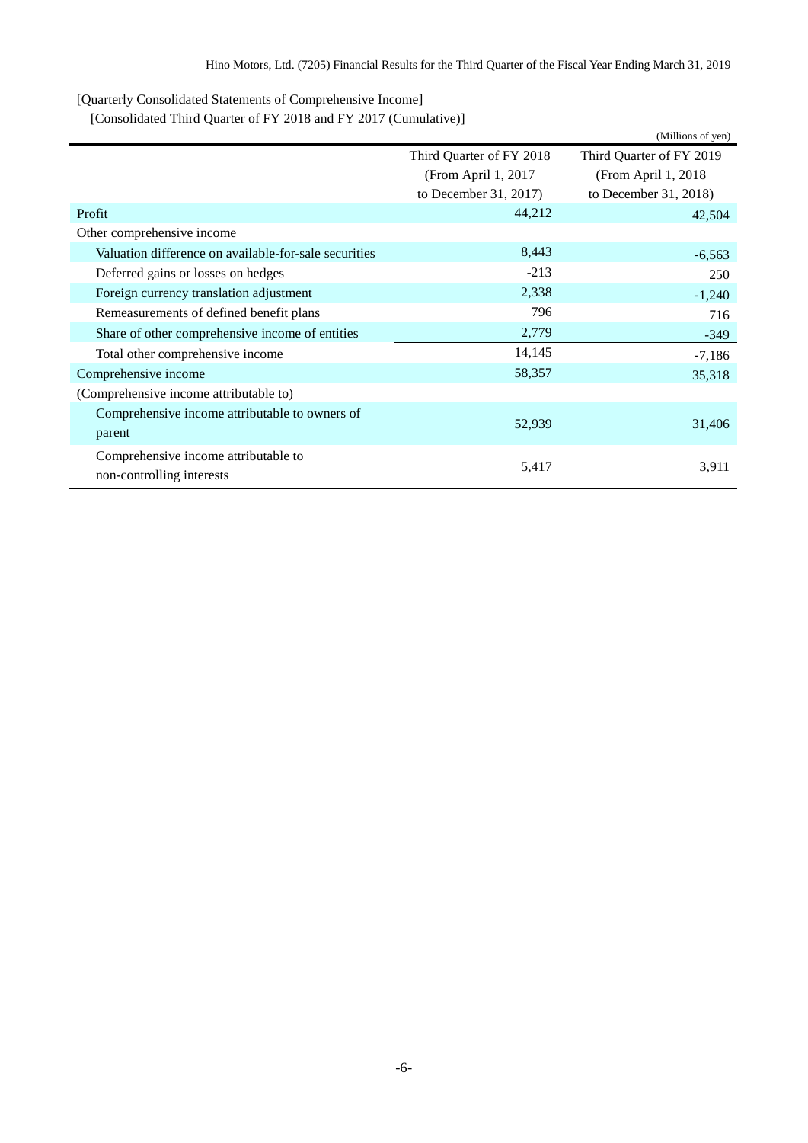<span id="page-7-0"></span>[Quarterly Consolidated Statements of Comprehensive Income]

<span id="page-7-1"></span>[Consolidated Third Quarter of FY 2018 and FY 2017 (Cumulative)]

|                                                                   |                          | (Millions of yen)        |
|-------------------------------------------------------------------|--------------------------|--------------------------|
|                                                                   | Third Quarter of FY 2018 | Third Quarter of FY 2019 |
|                                                                   | (From April 1, 2017      | (From April 1, 2018)     |
|                                                                   | to December $31, 2017$   | to December 31, 2018)    |
| Profit                                                            | 44,212                   | 42,504                   |
| Other comprehensive income                                        |                          |                          |
| Valuation difference on available-for-sale securities             | 8,443                    | $-6,563$                 |
| Deferred gains or losses on hedges                                | $-213$                   | 250                      |
| Foreign currency translation adjustment                           | 2,338                    | $-1,240$                 |
| Remeasurements of defined benefit plans                           | 796                      | 716                      |
| Share of other comprehensive income of entities                   | 2,779                    | $-349$                   |
| Total other comprehensive income                                  | 14,145                   | $-7,186$                 |
| Comprehensive income                                              | 58,357                   | 35,318                   |
| (Comprehensive income attributable to)                            |                          |                          |
| Comprehensive income attributable to owners of<br>parent          | 52,939                   | 31,406                   |
| Comprehensive income attributable to<br>non-controlling interests | 5,417                    | 3,911                    |